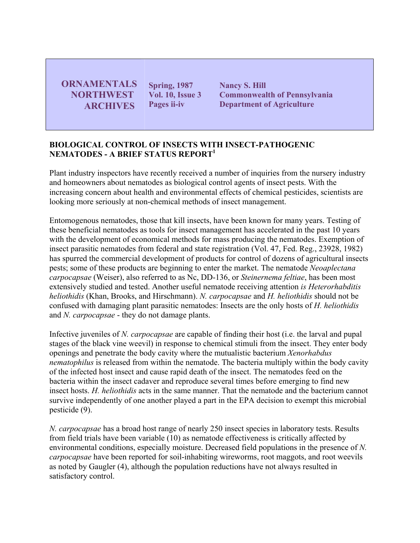**ORNAMENTALS NORTHWEST ARCHIVES** 

**Spring, 1987 Vol. 10, Issue 3 Pages ii-iv**

**Nancy S. Hill Commonwealth of Pennsylvania Department of Agriculture** 

## **BIOLOGICAL CONTROL OF INSECTS WITH INSECT-PATHOGENIC NEMATODES - A BRIEF STATUS REPORT**<sup>1</sup>

Plant industry inspectors have recently received a number of inquiries from the nursery industry and homeowners about nematodes as biological control agents of insect pests. With the increasing concern about health and environmental effects of chemical pesticides, scientists are looking more seriously at non-chemical methods of insect management.

Entomogenous nematodes, those that kill insects, have been known for many years. Testing of these beneficial nematodes as tools for insect management has accelerated in the past 10 years with the development of economical methods for mass producing the nematodes. Exemption of insect parasitic nematodes from federal and state registration (Vol. 47, Fed. Reg., 23928, 1982) has spurred the commercial development of products for control of dozens of agricultural insects pests; some of these products are beginning to enter the market. The nematode *Neoaplectana carpocapsae* (Weiser), also referred to as Nc, DD-136, or *Steinernema feltiae*, has been most extensively studied and tested. Another useful nematode receiving attention *is Heterorhabditis heliothidis* (Khan, Brooks, and Hirschmann). *N. carpocapsae* and *H. heliothidis* should not be confused with damaging plant parasitic nematodes: Insects are the only hosts of *H. heliothidis* and *N. carpocapsae* - they do not damage plants.

Infective juveniles of *N. carpocapsae* are capable of finding their host (i.e. the larval and pupal stages of the black vine weevil) in response to chemical stimuli from the insect. They enter body openings and penetrate the body cavity where the mutualistic bacterium *Xenorhabdus nematophilus* is released from within the nematode. The bacteria multiply within the body cavity of the infected host insect and cause rapid death of the insect. The nematodes feed on the bacteria within the insect cadaver and reproduce several times before emerging to find new insect hosts. *H. heliothidis* acts in the same manner. That the nematode and the bacterium cannot survive independently of one another played a part in the EPA decision to exempt this microbial pesticide (9).

*N. carpocapsae* has a broad host range of nearly 250 insect species in laboratory tests. Results from field trials have been variable (10) as nematode effectiveness is critically affected by environmental conditions, especially moisture. Decreased field populations in the presence of *N. carpocapsae* have been reported for soil-inhabiting wireworms, root maggots, and root weevils as noted by Gaugler (4), although the population reductions have not always resulted in satisfactory control.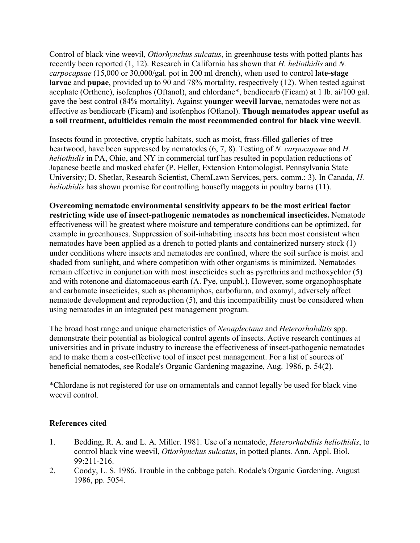Control of black vine weevil, *Otiorhynchus sulcatus*, in greenhouse tests with potted plants has recently been reported (1, 12). Research in California has shown that *H. heliothidis* and *N. carpocapsae* (15,000 or 30,000/gal. pot in 200 ml drench), when used to control **late-stage larvae** and **pupae**, provided up to 90 and 78% mortality, respectively (12). When tested against acephate (Orthene), isofenphos (Oftanol), and chlordane\*, bendiocarb (Ficam) at 1 lb. ai/100 gal. gave the best control (84% mortality). Against **younger weevil larvae**, nematodes were not as effective as bendiocarb (Ficam) and isofenphos (Oftanol). **Though nematodes appear useful as a soil treatment, adulticides remain the most recommended control for black vine weevil**.

Insects found in protective, cryptic habitats, such as moist, frass-filled galleries of tree heartwood, have been suppressed by nematodes (6, 7, 8). Testing of *N. carpocapsae* and *H. heliothidis* in PA, Ohio, and NY in commercial turf has resulted in population reductions of Japanese beetle and masked chafer (P. Heller, Extension Entomologist, Pennsylvania State University; D. Shetlar, Research Scientist, ChemLawn Services, pers. comm.; 3). In Canada, *H. heliothidis* has shown promise for controlling housefly maggots in poultry barns (11).

**Overcoming nematode environmental sensitivity appears to be the most critical factor restricting wide use of insect-pathogenic nematodes as nonchemical insecticides.** Nematode effectiveness will be greatest where moisture and temperature conditions can be optimized, for example in greenhouses. Suppression of soil-inhabiting insects has been most consistent when nematodes have been applied as a drench to potted plants and containerized nursery stock (1) under conditions where insects and nematodes are confined, where the soil surface is moist and shaded from sunlight, and where competition with other organisms is minimized. Nematodes remain effective in conjunction with most insecticides such as pyrethrins and methoxychlor (5) and with rotenone and diatomaceous earth (A. Pye, unpubl.). However, some organophosphate and carbamate insecticides, such as phenamiphos, carbofuran, and oxamyl, adversely affect nematode development and reproduction (5), and this incompatibility must be considered when using nematodes in an integrated pest management program.

The broad host range and unique characteristics of *Neoaplectana* and *Heterorhabditis* spp. demonstrate their potential as biological control agents of insects. Active research continues at universities and in private industry to increase the effectiveness of insect-pathogenic nematodes and to make them a cost-effective tool of insect pest management. For a list of sources of beneficial nematodes, see Rodale's Organic Gardening magazine, Aug. 1986, p. 54(2).

\*Chlordane is not registered for use on ornamentals and cannot legally be used for black vine weevil control.

## **References cited**

- 1. Bedding, R. A. and L. A. Miller. 1981. Use of a nematode, *Heterorhabditis heliothidis*, to control black vine weevil, *Otiorhynchus sulcatus*, in potted plants. Ann. Appl. Biol. 99:211-216.
- 2. Coody, L. S. 1986. Trouble in the cabbage patch. Rodale's Organic Gardening, August 1986, pp. 5054.